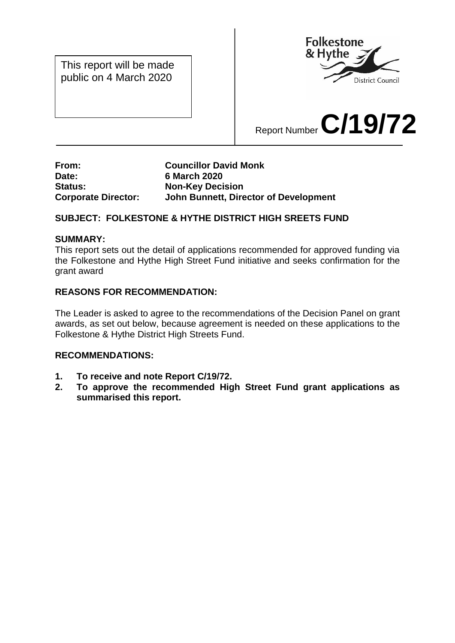This report will be made public on 4 March 2020



# Report Number **C/19/72**

## **From: Councillor David Monk Date: 6 March 2020 Status: Non-Key Decision Corporate Director: John Bunnett, Director of Development**

# **SUBJECT: FOLKESTONE & HYTHE DISTRICT HIGH SREETS FUND**

#### **SUMMARY:**

This report sets out the detail of applications recommended for approved funding via the Folkestone and Hythe High Street Fund initiative and seeks confirmation for the grant award

## **REASONS FOR RECOMMENDATION:**

The Leader is asked to agree to the recommendations of the Decision Panel on grant awards, as set out below, because agreement is needed on these applications to the Folkestone & Hythe District High Streets Fund.

#### **RECOMMENDATIONS:**

- **1. To receive and note Report C/19/72.**
- **2. To approve the recommended High Street Fund grant applications as summarised this report.**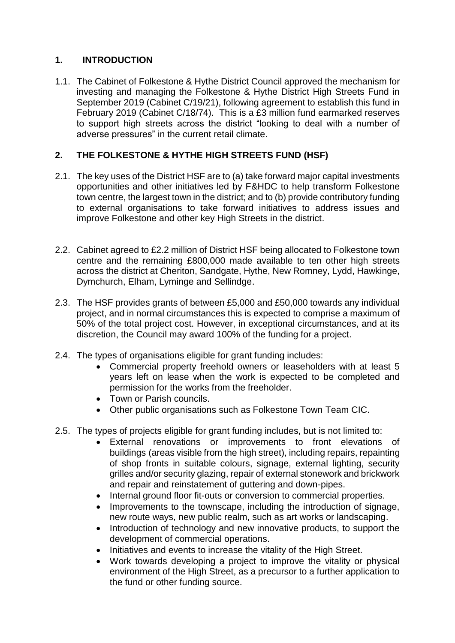# **1. INTRODUCTION**

1.1. The Cabinet of Folkestone & Hythe District Council approved the mechanism for investing and managing the Folkestone & Hythe District High Streets Fund in September 2019 (Cabinet C/19/21), following agreement to establish this fund in February 2019 (Cabinet C/18/74). This is a £3 million fund earmarked reserves to support high streets across the district "looking to deal with a number of adverse pressures" in the current retail climate.

## **2. THE FOLKESTONE & HYTHE HIGH STREETS FUND (HSF)**

- 2.1. The key uses of the District HSF are to (a) take forward major capital investments opportunities and other initiatives led by F&HDC to help transform Folkestone town centre, the largest town in the district; and to (b) provide contributory funding to external organisations to take forward initiatives to address issues and improve Folkestone and other key High Streets in the district.
- 2.2. Cabinet agreed to £2.2 million of District HSF being allocated to Folkestone town centre and the remaining £800,000 made available to ten other high streets across the district at Cheriton, Sandgate, Hythe, New Romney, Lydd, Hawkinge, Dymchurch, Elham, Lyminge and Sellindge.
- 2.3. The HSF provides grants of between £5,000 and £50,000 towards any individual project, and in normal circumstances this is expected to comprise a maximum of 50% of the total project cost. However, in exceptional circumstances, and at its discretion, the Council may award 100% of the funding for a project.
- 2.4. The types of organisations eligible for grant funding includes:
	- Commercial property freehold owners or leaseholders with at least 5 years left on lease when the work is expected to be completed and permission for the works from the freeholder.
	- Town or Parish councils.
	- Other public organisations such as Folkestone Town Team CIC.
- 2.5. The types of projects eligible for grant funding includes, but is not limited to:
	- External renovations or improvements to front elevations of buildings (areas visible from the high street), including repairs, repainting of shop fronts in suitable colours, signage, external lighting, security grilles and/or security glazing, repair of external stonework and brickwork and repair and reinstatement of guttering and down-pipes.
	- Internal ground floor fit-outs or conversion to commercial properties.
	- Improvements to the townscape, including the introduction of signage, new route ways, new public realm, such as art works or landscaping.
	- Introduction of technology and new innovative products, to support the development of commercial operations.
	- Initiatives and events to increase the vitality of the High Street.
	- Work towards developing a project to improve the vitality or physical environment of the High Street, as a precursor to a further application to the fund or other funding source.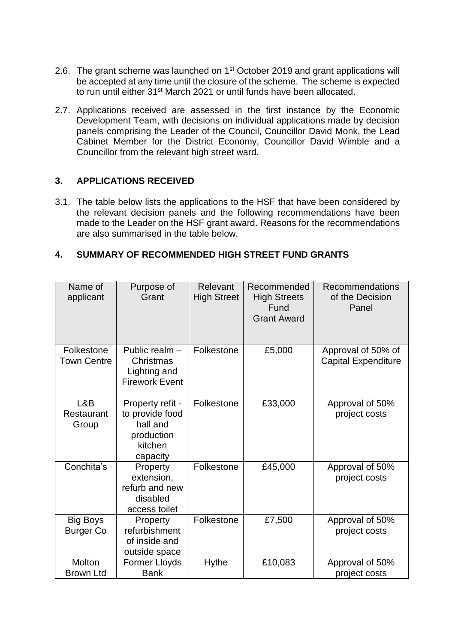- 2.6. The grant scheme was launched on 1<sup>st</sup> October 2019 and grant applications will be accepted at any time until the closure of the scheme. The scheme is expected to run until either 31<sup>st</sup> March 2021 or until funds have been allocated.
- 2.7. Applications received are assessed in the first instance by the Economic Development Team, with decisions on individual applications made by decision panels comprising the Leader of the Council, Councillor David Monk, the Lead Cabinet Member for the District Economy, Councillor David Wimble and a Councillor from the relevant high street ward.

## **3. APPLICATIONS RECEIVED**

3.1. The table below lists the applications to the HSF that have been considered by the relevant decision panels and the following recommendations have been made to the Leader on the HSF grant award. Reasons for the recommendations are also summarised in the table below.

## **4. SUMMARY OF RECOMMENDED HIGH STREET FUND GRANTS**

| Name of<br>applicant                | Purpose of<br>Grant                                                                  | Relevant<br><b>High Street</b> | Recommended<br><b>High Streets</b><br>Fund<br><b>Grant Award</b> | Recommendations<br>of the Decision<br>Panel      |
|-------------------------------------|--------------------------------------------------------------------------------------|--------------------------------|------------------------------------------------------------------|--------------------------------------------------|
| Folkestone<br><b>Town Centre</b>    | Public realm -<br>Christmas<br>Lighting and<br><b>Firework Event</b>                 | Folkestone                     | £5,000                                                           | Approval of 50% of<br><b>Capital Expenditure</b> |
| L&B<br>Restaurant<br>Group          | Property refit -<br>to provide food<br>hall and<br>production<br>kitchen<br>capacity | Folkestone                     | £33,000                                                          | Approval of 50%<br>project costs                 |
| Conchita's                          | Property<br>extension,<br>refurb and new<br>disabled<br>access toilet                | Folkestone                     | £45,000                                                          | Approval of 50%<br>project costs                 |
| <b>Big Boys</b><br><b>Burger Co</b> | Property<br>refurbishment<br>of inside and<br>outside space                          | Folkestone                     | £7,500                                                           | Approval of 50%<br>project costs                 |
| Molton<br><b>Brown Ltd</b>          | Former Lloyds<br><b>Bank</b>                                                         | <b>Hythe</b>                   | £10,083                                                          | Approval of 50%<br>project costs                 |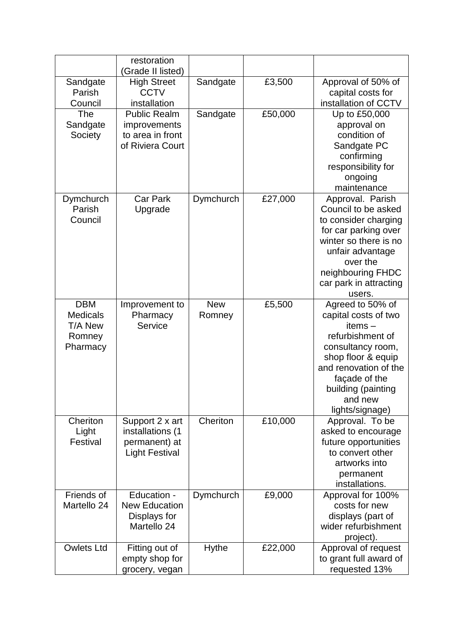|                     | restoration                 |            |         |                                             |
|---------------------|-----------------------------|------------|---------|---------------------------------------------|
|                     | (Grade II listed)           |            |         |                                             |
| Sandgate            | <b>High Street</b>          | Sandgate   | £3,500  | Approval of 50% of                          |
| Parish              | <b>CCTV</b>                 |            |         | capital costs for                           |
| Council             | installation                |            |         | installation of CCTV                        |
| The                 | <b>Public Realm</b>         | Sandgate   | £50,000 | Up to £50,000                               |
| Sandgate            | improvements                |            |         | approval on                                 |
| Society             | to area in front            |            |         | condition of                                |
|                     | of Riviera Court            |            |         | Sandgate PC                                 |
|                     |                             |            |         | confirming                                  |
|                     |                             |            |         | responsibility for                          |
|                     |                             |            |         | ongoing                                     |
|                     | <b>Car Park</b>             |            |         | maintenance                                 |
| Dymchurch<br>Parish | Upgrade                     | Dymchurch  | £27,000 | Approval. Parish<br>Council to be asked     |
| Council             |                             |            |         | to consider charging                        |
|                     |                             |            |         | for car parking over                        |
|                     |                             |            |         | winter so there is no                       |
|                     |                             |            |         | unfair advantage                            |
|                     |                             |            |         | over the                                    |
|                     |                             |            |         | neighbouring FHDC                           |
|                     |                             |            |         | car park in attracting                      |
|                     |                             |            |         | users.                                      |
| <b>DBM</b>          | Improvement to              | <b>New</b> | £5,500  | Agreed to 50% of                            |
| <b>Medicals</b>     | Pharmacy                    | Romney     |         | capital costs of two                        |
| T/A New             | Service                     |            |         | $items -$                                   |
| Romney              |                             |            |         | refurbishment of                            |
| Pharmacy            |                             |            |         | consultancy room,                           |
|                     |                             |            |         | shop floor & equip<br>and renovation of the |
|                     |                             |            |         | façade of the                               |
|                     |                             |            |         | building (painting                          |
|                     |                             |            |         | and new                                     |
|                     |                             |            |         | lights/signage)                             |
| Cheriton            | Support 2 x art             | Cheriton   | £10,000 | Approval. To be                             |
| Light               | installations (1            |            |         | asked to encourage                          |
| Festival            | permanent) at               |            |         | future opportunities                        |
|                     | <b>Light Festival</b>       |            |         | to convert other                            |
|                     |                             |            |         | artworks into                               |
|                     |                             |            |         | permanent                                   |
|                     |                             |            |         | installations.                              |
| Friends of          | Education -                 | Dymchurch  | £9,000  | Approval for 100%                           |
| Martello 24         | <b>New Education</b>        |            |         | costs for new                               |
|                     | Displays for<br>Martello 24 |            |         | displays (part of<br>wider refurbishment    |
|                     |                             |            |         |                                             |
| <b>Owlets Ltd</b>   | Fitting out of              | Hythe      | £22,000 | project).<br>Approval of request            |
|                     | empty shop for              |            |         | to grant full award of                      |
|                     | grocery, vegan              |            |         | requested 13%                               |